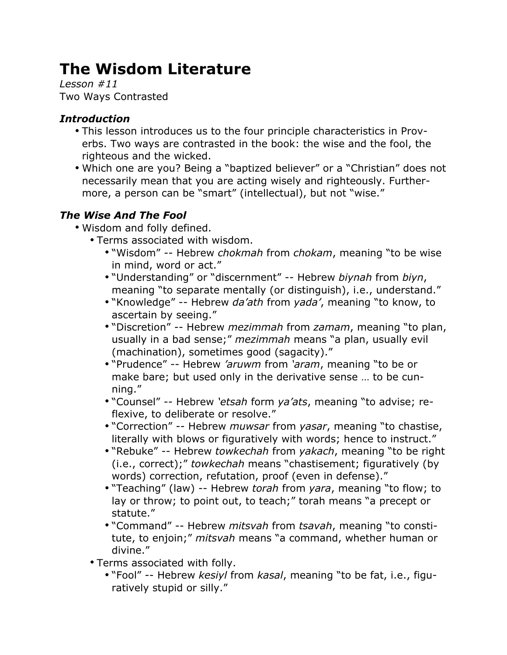# **The Wisdom Literature**

*Lesson #11* Two Ways Contrasted

## *Introduction*

- This lesson introduces us to the four principle characteristics in Proverbs. Two ways are contrasted in the book: the wise and the fool, the righteous and the wicked.
- Which one are you? Being a "baptized believer" or a "Christian" does not necessarily mean that you are acting wisely and righteously. Furthermore, a person can be "smart" (intellectual), but not "wise."

# *The Wise And The Fool*

- Wisdom and folly defined.
	- Terms associated with wisdom.
		- "Wisdom" -- Hebrew *chokmah* from *chokam*, meaning "to be wise in mind, word or act."
		- "Understanding" or "discernment" -- Hebrew *biynah* from *biyn*, meaning "to separate mentally (or distinguish), i.e., understand."
		- "Knowledge" -- Hebrew *da'ath* from *yada'*, meaning "to know, to ascertain by seeing."
		- "Discretion" -- Hebrew *mezimmah* from *zamam*, meaning "to plan, usually in a bad sense;" *mezimmah* means "a plan, usually evil (machination), sometimes good (sagacity)."
		- "Prudence" -- Hebrew *'aruwm* from *'aram*, meaning "to be or make bare; but used only in the derivative sense … to be cunning."
		- "Counsel" -- Hebrew *'etsah* form *ya'ats*, meaning "to advise; reflexive, to deliberate or resolve."
		- "Correction" -- Hebrew *muwsar* from *yasar*, meaning "to chastise, literally with blows or figuratively with words; hence to instruct."
		- "Rebuke" -- Hebrew *towkechah* from *yakach*, meaning "to be right (i.e., correct);" *towkechah* means "chastisement; figuratively (by words) correction, refutation, proof (even in defense)."
		- "Teaching" (law) -- Hebrew *torah* from *yara*, meaning "to flow; to lay or throw; to point out, to teach;" torah means "a precept or statute."
		- "Command" -- Hebrew *mitsvah* from *tsavah*, meaning "to constitute, to enjoin;" *mitsvah* means "a command, whether human or divine."
	- Terms associated with folly.
		- "Fool" -- Hebrew *kesiyl* from *kasal*, meaning "to be fat, i.e., figuratively stupid or silly."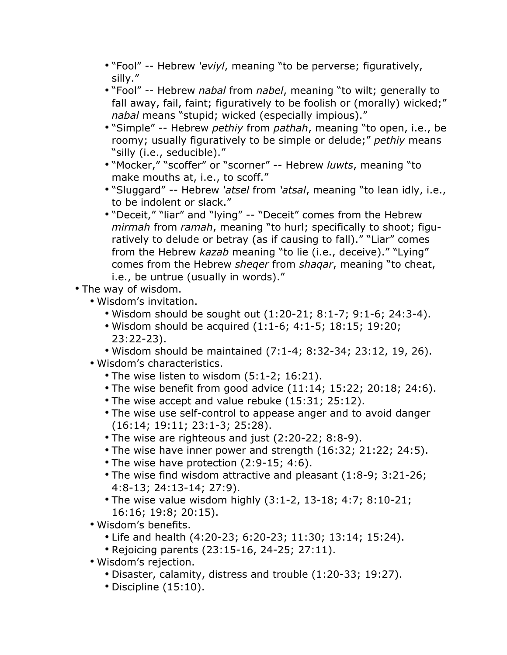- "Fool" -- Hebrew *'eviyl*, meaning "to be perverse; figuratively, silly."
- "Fool" -- Hebrew *nabal* from *nabel*, meaning "to wilt; generally to fall away, fail, faint; figuratively to be foolish or (morally) wicked;" *nabal* means "stupid; wicked (especially impious)."
- "Simple" -- Hebrew *pethiy* from *pathah*, meaning "to open, i.e., be roomy; usually figuratively to be simple or delude;" *pethiy* means "silly (i.e., seducible)."
- "Mocker," "scoffer" or "scorner" -- Hebrew *luwts*, meaning "to make mouths at, i.e., to scoff."
- "Sluggard" -- Hebrew *'atsel* from *'atsal*, meaning "to lean idly, i.e., to be indolent or slack."
- "Deceit," "liar" and "lying" -- "Deceit" comes from the Hebrew *mirmah* from *ramah*, meaning "to hurl; specifically to shoot; figuratively to delude or betray (as if causing to fall)." "Liar" comes from the Hebrew *kazab* meaning "to lie (i.e., deceive)." "Lying" comes from the Hebrew *sheqer* from *shaqar*, meaning "to cheat, i.e., be untrue (usually in words)."
- The way of wisdom.
	- Wisdom's invitation.
		- Wisdom should be sought out (1:20-21; 8:1-7; 9:1-6; 24:3-4).
		- Wisdom should be acquired (1:1-6; 4:1-5; 18:15; 19:20; 23:22-23).
		- Wisdom should be maintained (7:1-4; 8:32-34; 23:12, 19, 26).
	- Wisdom's characteristics.
		- The wise listen to wisdom (5:1-2; 16:21).
		- The wise benefit from good advice (11:14; 15:22; 20:18; 24:6).
		- The wise accept and value rebuke (15:31; 25:12).
		- The wise use self-control to appease anger and to avoid danger (16:14; 19:11; 23:1-3; 25:28).
		- The wise are righteous and just (2:20-22; 8:8-9).
		- The wise have inner power and strength (16:32; 21:22; 24:5).
		- The wise have protection (2:9-15; 4:6).
		- The wise find wisdom attractive and pleasant (1:8-9; 3:21-26; 4:8-13; 24:13-14; 27:9).
		- The wise value wisdom highly (3:1-2, 13-18; 4:7; 8:10-21; 16:16; 19:8; 20:15).
	- Wisdom's benefits.
		- Life and health (4:20-23; 6:20-23; 11:30; 13:14; 15:24).
		- Rejoicing parents (23:15-16, 24-25; 27:11).
	- Wisdom's rejection.
		- Disaster, calamity, distress and trouble (1:20-33; 19:27).
		- Discipline (15:10).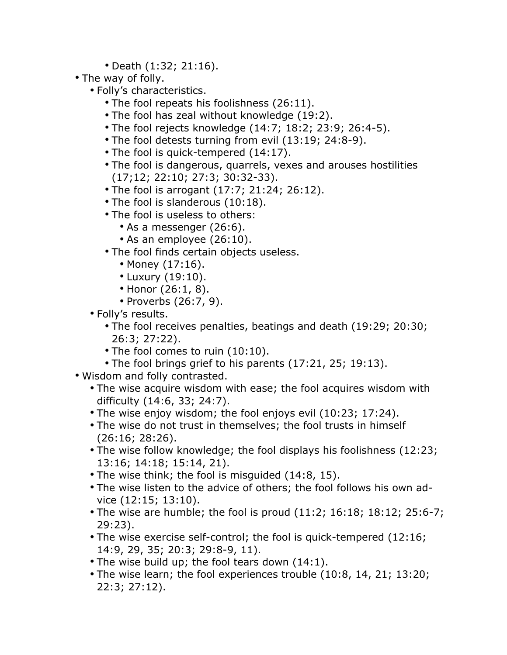- Death (1:32; 21:16).
- The way of folly.
	- Folly's characteristics.
		- The fool repeats his foolishness (26:11).
		- The fool has zeal without knowledge (19:2).
		- The fool rejects knowledge (14:7; 18:2; 23:9; 26:4-5).
		- The fool detests turning from evil (13:19; 24:8-9).
		- The fool is quick-tempered (14:17).
		- The fool is dangerous, quarrels, vexes and arouses hostilities (17;12; 22:10; 27:3; 30:32-33).
		- The fool is arrogant (17:7; 21:24; 26:12).
		- The fool is slanderous (10:18).
		- The fool is useless to others:
			- As a messenger (26:6).
			- As an employee (26:10).
		- The fool finds certain objects useless.
			- Money (17:16).
			- Luxury (19:10).
			- Honor (26:1, 8).
			- Proverbs (26:7, 9).
	- Folly's results.
		- The fool receives penalties, beatings and death (19:29; 20:30; 26:3; 27:22).
		- The fool comes to ruin (10:10).
		- The fool brings grief to his parents (17:21, 25; 19:13).
- Wisdom and folly contrasted.
	- The wise acquire wisdom with ease; the fool acquires wisdom with difficulty (14:6, 33; 24:7).
	- The wise enjoy wisdom; the fool enjoys evil (10:23; 17:24).
	- The wise do not trust in themselves; the fool trusts in himself (26:16; 28:26).
	- The wise follow knowledge; the fool displays his foolishness (12:23; 13:16; 14:18; 15:14, 21).
	- The wise think; the fool is misguided (14:8, 15).
	- The wise listen to the advice of others; the fool follows his own advice (12:15; 13:10).
	- The wise are humble; the fool is proud (11:2; 16:18; 18:12; 25:6-7; 29:23).
	- The wise exercise self-control; the fool is quick-tempered (12:16; 14:9, 29, 35; 20:3; 29:8-9, 11).
	- The wise build up; the fool tears down (14:1).
	- The wise learn; the fool experiences trouble (10:8, 14, 21; 13:20; 22:3; 27:12).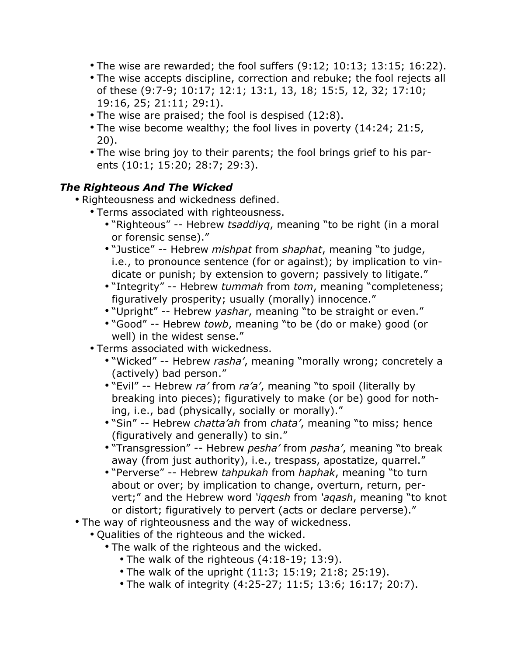- The wise are rewarded; the fool suffers (9:12; 10:13; 13:15; 16:22).
- The wise accepts discipline, correction and rebuke; the fool rejects all of these (9:7-9; 10:17; 12:1; 13:1, 13, 18; 15:5, 12, 32; 17:10; 19:16, 25; 21:11; 29:1).
- The wise are praised; the fool is despised (12:8).
- The wise become wealthy; the fool lives in poverty (14:24; 21:5, 20).
- The wise bring joy to their parents; the fool brings grief to his parents (10:1; 15:20; 28:7; 29:3).

#### *The Righteous And The Wicked*

- Righteousness and wickedness defined.
	- Terms associated with righteousness.
		- "Righteous" -- Hebrew *tsaddiyq*, meaning "to be right (in a moral or forensic sense)."
		- "Justice" -- Hebrew *mishpat* from *shaphat*, meaning "to judge, i.e., to pronounce sentence (for or against); by implication to vindicate or punish; by extension to govern; passively to litigate."
		- "Integrity" -- Hebrew *tummah* from *tom*, meaning "completeness; figuratively prosperity; usually (morally) innocence."
		- "Upright" -- Hebrew *yashar*, meaning "to be straight or even."
		- "Good" -- Hebrew *towb*, meaning "to be (do or make) good (or well) in the widest sense."
	- Terms associated with wickedness.
		- "Wicked" -- Hebrew *rasha'*, meaning "morally wrong; concretely a (actively) bad person."
		- "Evil" -- Hebrew *ra'* from *ra'a'*, meaning "to spoil (literally by breaking into pieces); figuratively to make (or be) good for nothing, i.e., bad (physically, socially or morally)."
		- "Sin" -- Hebrew *chatta'ah* from *chata'*, meaning "to miss; hence (figuratively and generally) to sin."
		- "Transgression" -- Hebrew *pesha'* from *pasha'*, meaning "to break away (from just authority), i.e., trespass, apostatize, quarrel."
		- "Perverse" -- Hebrew *tahpukah* from *haphak*, meaning "to turn about or over; by implication to change, overturn, return, pervert;" and the Hebrew word *'iqqesh* from *'aqash*, meaning "to knot or distort; figuratively to pervert (acts or declare perverse)."
- The way of righteousness and the way of wickedness.
	- Qualities of the righteous and the wicked.
		- The walk of the righteous and the wicked.
			- The walk of the righteous (4:18-19; 13:9).
			- The walk of the upright (11:3; 15:19; 21:8; 25:19).
			- The walk of integrity (4:25-27; 11:5; 13:6; 16:17; 20:7).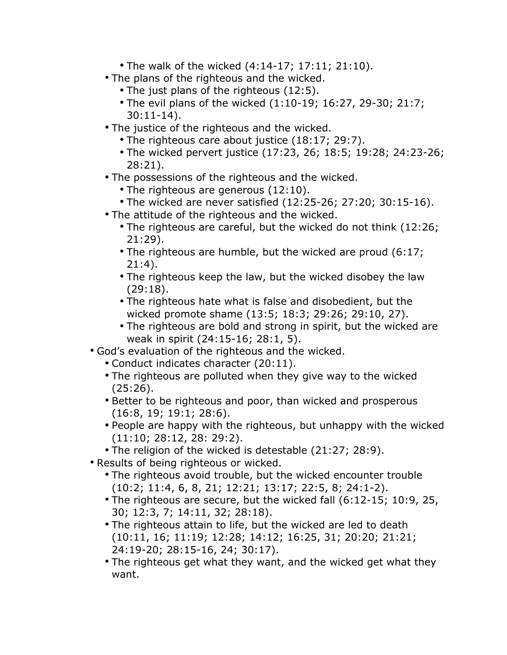- The walk of the wicked (4:14-17; 17:11; 21:10).
- The plans of the righteous and the wicked.
	- The just plans of the righteous (12:5).
	- The evil plans of the wicked (1:10-19; 16:27, 29-30; 21:7; 30:11-14).
- The justice of the righteous and the wicked.
	- The righteous care about justice (18:17; 29:7).
	- The wicked pervert justice (17:23, 26; 18:5; 19:28; 24:23-26; 28:21).
- The possessions of the righteous and the wicked.
	- The righteous are generous (12:10).
- The wicked are never satisfied (12:25-26; 27:20; 30:15-16).
- The attitude of the righteous and the wicked.
	- The righteous are careful, but the wicked do not think (12:26; 21:29).
	- The righteous are humble, but the wicked are proud (6:17; 21:4).
	- The righteous keep the law, but the wicked disobey the law (29:18).
	- The righteous hate what is false and disobedient, but the wicked promote shame (13:5; 18:3; 29:26; 29:10, 27).
	- The righteous are bold and strong in spirit, but the wicked are weak in spirit (24:15-16; 28:1, 5).
- God's evaluation of the righteous and the wicked.
	- Conduct indicates character (20:11).
	- The righteous are polluted when they give way to the wicked (25:26).
	- Better to be righteous and poor, than wicked and prosperous (16:8, 19; 19:1; 28:6).
	- People are happy with the righteous, but unhappy with the wicked (11:10; 28:12, 28: 29:2).
	- The religion of the wicked is detestable (21:27; 28:9).
- Results of being righteous or wicked.
	- The righteous avoid trouble, but the wicked encounter trouble (10:2; 11:4, 6, 8, 21; 12:21; 13:17; 22:5, 8; 24:1-2).
	- The righteous are secure, but the wicked fall (6:12-15; 10:9, 25, 30; 12:3, 7; 14:11, 32; 28:18).
	- The righteous attain to life, but the wicked are led to death (10:11, 16; 11:19; 12:28; 14:12; 16:25, 31; 20:20; 21:21; 24:19-20; 28:15-16, 24; 30:17).
	- The righteous get what they want, and the wicked get what they want.